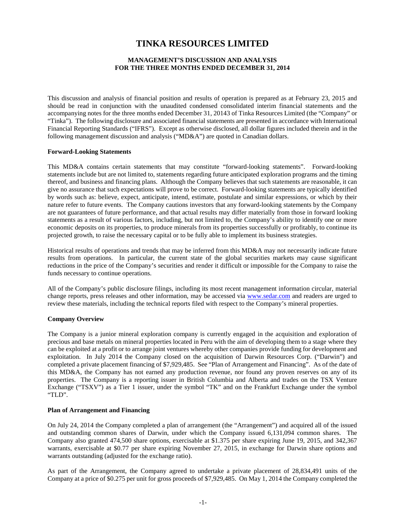# **TINKA RESOURCES LIMITED**

# **MANAGEMENT'S DISCUSSION AND ANALYSIS FOR THE THREE MONTHS ENDED DECEMBER 31, 2014**

This discussion and analysis of financial position and results of operation is prepared as at February 23, 2015 and should be read in conjunction with the unaudited condensed consolidated interim financial statements and the accompanying notes for the three months ended December 31, 20143 of Tinka Resources Limited (the "Company" or "Tinka"). The following disclosure and associated financial statements are presented in accordance with International Financial Reporting Standards ("IFRS"). Except as otherwise disclosed, all dollar figures included therein and in the following management discussion and analysis ("MD&A") are quoted in Canadian dollars.

## **Forward-Looking Statements**

This MD&A contains certain statements that may constitute "forward-looking statements". Forward-looking statements include but are not limited to, statements regarding future anticipated exploration programs and the timing thereof, and business and financing plans. Although the Company believes that such statements are reasonable, it can give no assurance that such expectations will prove to be correct. Forward-looking statements are typically identified by words such as: believe, expect, anticipate, intend, estimate, postulate and similar expressions, or which by their nature refer to future events. The Company cautions investors that any forward-looking statements by the Company are not guarantees of future performance, and that actual results may differ materially from those in forward looking statements as a result of various factors, including, but not limited to, the Company's ability to identify one or more economic deposits on its properties, to produce minerals from its properties successfully or profitably, to continue its projected growth, to raise the necessary capital or to be fully able to implement its business strategies.

Historical results of operations and trends that may be inferred from this MD&A may not necessarily indicate future results from operations. In particular, the current state of the global securities markets may cause significant reductions in the price of the Company's securities and render it difficult or impossible for the Company to raise the funds necessary to continue operations.

All of the Company's public disclosure filings, including its most recent management information circular, material change reports, press releases and other information, may be accessed via [www.sedar.com](http://www.sedar.com/) and readers are urged to review these materials, including the technical reports filed with respect to the Company's mineral properties.

# **Company Overview**

The Company is a junior mineral exploration company is currently engaged in the acquisition and exploration of precious and base metals on mineral properties located in Peru with the aim of developing them to a stage where they can be exploited at a profit or to arrange joint ventures whereby other companies provide funding for development and exploitation. In July 2014 the Company closed on the acquisition of Darwin Resources Corp. ("Darwin") and completed a private placement financing of \$7,929,485. See "Plan of Arrangement and Financing". As of the date of this MD&A, the Company has not earned any production revenue, nor found any proven reserves on any of its properties. The Company is a reporting issuer in British Columbia and Alberta and trades on the TSX Venture Exchange ("TSXV") as a Tier 1 issuer, under the symbol "TK" and on the Frankfurt Exchange under the symbol "TLD".

## **Plan of Arrangement and Financing**

On July 24, 2014 the Company completed a plan of arrangement (the "Arrangement") and acquired all of the issued and outstanding common shares of Darwin, under which the Company issued 6,131,094 common shares. The Company also granted 474,500 share options, exercisable at \$1.375 per share expiring June 19, 2015, and 342,367 warrants, exercisable at \$0.77 per share expiring November 27, 2015, in exchange for Darwin share options and warrants outstanding (adjusted for the exchange ratio).

As part of the Arrangement, the Company agreed to undertake a private placement of 28,834,491 units of the Company at a price of \$0.275 per unit for gross proceeds of \$7,929,485. On May 1, 2014 the Company completed the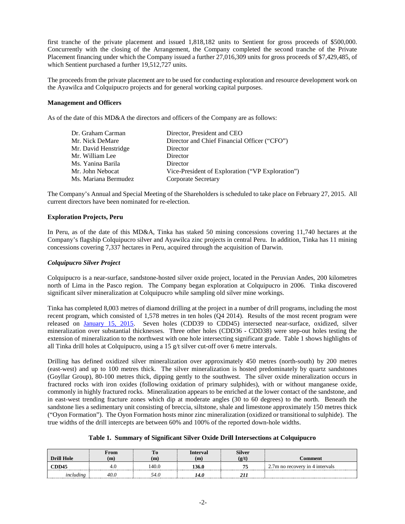first tranche of the private placement and issued 1,818,182 units to Sentient for gross proceeds of \$500,000. Concurrently with the closing of the Arrangement, the Company completed the second tranche of the Private Placement financing under which the Company issued a further 27,016,309 units for gross proceeds of \$7,429,485, of which Sentient purchased a further 19,512,727 units.

The proceeds from the private placement are to be used for conducting exploration and resource development work on the Ayawilca and Colquipucro projects and for general working capital purposes.

## **Management and Officers**

As of the date of this MD&A the directors and officers of the Company are as follows:

| Dr. Graham Carman    | Director, President and CEO                      |
|----------------------|--------------------------------------------------|
| Mr. Nick DeMare      | Director and Chief Financial Officer ("CFO")     |
| Mr. David Henstridge | Director                                         |
| Mr. William Lee      | Director                                         |
| Ms. Yanina Barila    | Director                                         |
| Mr. John Nebocat     | Vice-President of Exploration ("VP Exploration") |
| Ms. Mariana Bermudez | <b>Corporate Secretary</b>                       |

The Company's Annual and Special Meeting of the Shareholders is scheduled to take place on February 27, 2015. All current directors have been nominated for re-election.

## **Exploration Projects, Peru**

In Peru, as of the date of this MD&A, Tinka has staked 50 mining concessions covering 11,740 hectares at the Company's flagship Colquipucro silver and Ayawilca zinc projects in central Peru. In addition, Tinka has 11 mining concessions covering 7,337 hectares in Peru, acquired through the acquisition of Darwin.

# *Colquipucro Silver Project*

Colquipucro is a near-surface, sandstone-hosted silver oxide project, located in the Peruvian Andes, 200 kilometres north of Lima in the Pasco region. The Company began exploration at Colquipucro in 2006. Tinka discovered significant silver mineralization at Colquipucro while sampling old silver mine workings.

Tinka has completed 8,003 metres of diamond drilling at the project in a number of drill programs, including the most recent program, which consisted of 1,578 metres in ten holes (Q4 2014). Results of the most recent program were released on [January 15, 2015.](http://www.tinkaresources.com/s/NewsReleases.asp?ReportID=691218&_Type=News&_Title=Tinka-Announces-Results-Of-1600-Metre-Ten-Hole-Drill-Program-At-Colquipucro...) Seven holes (CDD39 to CDD45) intersected near-surface, oxidized, silver mineralization over substantial thicknesses. Three other holes (CDD36 - CDD38) were step-out holes testing the extension of mineralization to the northwest with one hole intersecting significant grade. Table 1 shows highlights of all Tinka drill holes at Colquipucro, using a 15 g/t silver cut-off over 6 metre intervals.

Drilling has defined oxidized silver mineralization over approximately 450 metres (north-south) by 200 metres (east-west) and up to 100 metres thick. The silver mineralization is hosted predominately by quartz sandstones (Goyllar Group), 80-100 metres thick, dipping gently to the southwest. The silver oxide mineralization occurs in fractured rocks with iron oxides (following oxidation of primary sulphides), with or without manganese oxide, commonly in highly fractured rocks. Mineralization appears to be enriched at the lower contact of the sandstone, and in east-west trending fracture zones which dip at moderate angles (30 to 60 degrees) to the north. Beneath the sandstone lies a sedimentary unit consisting of breccia, siltstone, shale and limestone approximately 150 metres thick ("Oyon Formation"). The Oyon Formation hosts minor zinc mineralization (oxidized or transitional to sulphide). The true widths of the drill intercepts are between 60% and 100% of the reported down-hole widths.

| Table 1. Summary of Significant Silver Oxide Drill Intersections at Colquipucro |  |  |  |  |  |  |
|---------------------------------------------------------------------------------|--|--|--|--|--|--|
|---------------------------------------------------------------------------------|--|--|--|--|--|--|

|                   | From | 10   | Interval | <b>Silver</b> |                                 |
|-------------------|------|------|----------|---------------|---------------------------------|
| <b>Drill Hole</b> | m    |      | (m       | p/t           | :omment                         |
| `DD45             | 4.U  | 40.0 | .36.0    |               | 2.7m no recovery in 4 intervals |
| uudino            |      | 54.0 | 14.0     |               |                                 |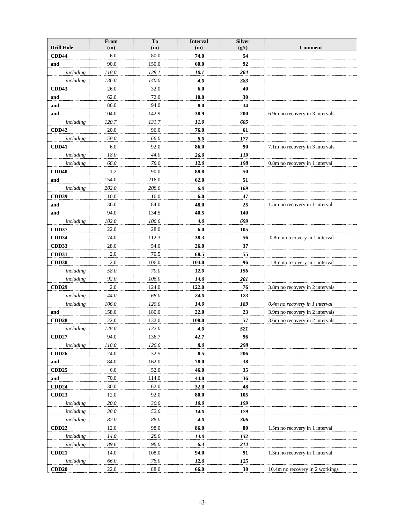|                           | From           | To             | <b>Interval</b> | <b>Silver</b> |                                 |
|---------------------------|----------------|----------------|-----------------|---------------|---------------------------------|
| <b>Drill Hole</b>         | (m)            | (m)            | (m)             | (g/t)         | <b>Comment</b>                  |
| <b>CDD44</b>              | 6.0            | 80.0           | 74.0            | 54            |                                 |
| and                       | 90.0           | 150.0          | 60.0            | 92            |                                 |
| including                 | 118.0          | 128.1          | 10.1            | 264           |                                 |
| including                 | 136.0          | 140.0          | 4.0             | 383           |                                 |
| <b>CDD43</b>              | 26.0           | 32.0           | 6.0             | 40            |                                 |
| and                       | 62.0<br>86.0   | 72.0<br>94.0   | 10.0<br>8.0     | 30            |                                 |
| and                       |                |                |                 | 34            |                                 |
| and                       | 104.0<br>120.7 | 142.9<br>131.7 | 38.9<br>11.0    | 200<br>605    | 6.9m no recovery in 3 intervals |
| including<br><b>CDD42</b> | 20.0           | 96.0           | 76.0            | 61            |                                 |
| including                 | 58.0           | 66.0           | 8.0             | 177           |                                 |
| <b>CDD41</b>              | 6.0            | 92.0           | 86.0            | 90            | 7.1m no recovery in 3 intervals |
| including                 | 18.0           | 44.0           | 26.0            | 119           |                                 |
| including                 | 66.0           | 78.0           | 12.0            | 198           | 0.8m no recovery in 1 interval  |
| <b>CDD40</b>              | 1.2            | 90.0           | 88.8            | 50            |                                 |
| and                       | 154.0          | 216.0          | 62.0            | 51            |                                 |
| including                 | 202.0          | 208.0          | 6.0             | 169           |                                 |
| <b>CDD39</b>              | 10.0           | 16.0           | 6.0             | 47            |                                 |
| and                       | 36.0           | 84.0           | 48.0            | 25            | 1.5m no recovery in 1 interval  |
| and                       | 94.0           | 134.5          | 40.5            | 140           |                                 |
| including                 | 102.0          | 106.0          | 4.0             | 699           |                                 |
| <b>CDD37</b>              | 22.0           | 28.0           | 6.0             | 105           |                                 |
| <b>CDD34</b>              | 74.0           | 112.3          | 38.3            | 56            | 0.8m no recovery in 1 interval  |
| CDD33                     | 28.0           | 54.0           | 26.0            | 37            |                                 |
| <b>CDD31</b>              | 2.0            | 70.5           | 68.5            | 55            |                                 |
| <b>CDD30</b>              | 2.0            | 106.0          | 104.0           | 96            | 1.8m no recovery in 1 interval  |
| including                 | 58.0           | 70.0           | 12.0            | 156           |                                 |
| including                 | 92.0           | 106.0          | 14.0            | 201           |                                 |
| <b>CDD29</b>              | 2.0            | 124.0          | 122.0           | 76            | 3.8m no recovery in 2 intervals |
| including                 | 44.0           | 68.0           | 24.0            | 123           |                                 |
| including                 | 106.0          | 120.0          | 14.0            | 189           | 0.4m no recovery in 1 interval  |
| and                       | 158.0          | 180.0          | 22.0            | 23            | 3.9m no recovery in 2 intervals |
| CDD <sub>28</sub>         | 22.0           | 132.0          | 108.0           | 57            | 3.6m no recovery in 2 intervals |
| including                 | 128.0          | 132.0          | 4.0             | 521           |                                 |
| <b>CDD27</b>              | 94.0           | 136.7          | 42.7            | 96            |                                 |
| including                 | 118.0          | 126.0          | 8.0             | 298           |                                 |
| CDD26                     | 24.0           | 32.5           | 8.5             | 206           |                                 |
| and                       | 84.0           | 162.0          | 78.0            | 38            |                                 |
| <b>CDD25</b>              | 6.0            | 52.0           | 46.0            | 35            |                                 |
| and                       | 70.0           | 114.0          | 44.0            | 36            |                                 |
| <b>CDD24</b>              | 30.0           | 62.0           | 32.0            | 48            |                                 |
| <b>CDD23</b>              | 12.0           | 92.0           | 80.0            | 105           |                                 |
| including                 | $20.0\,$       | 30.0           | 10.0            | 199           |                                 |
| including                 | 38.0           | 52.0           | <i>14.0</i>     | 179           |                                 |
| including                 | 82.0           | 86.0           | 4.0             | 306           |                                 |
| <b>CDD22</b>              | 12.0           | 98.0           | 86.0            | 80            | 1.5m no recovery in 1 interval  |
| including                 | 14.0           | 28.0           | 14.0            | 132           |                                 |
| including                 | 89.6           | 96.0           | 6.4             | 214           |                                 |
| CDD <sub>21</sub>         | 14.0           | 108.0          | 94.0            | 91            | 1.3m no recovery in 1 interval  |
| including                 | 66.0           | $78.0\,$       | 12.0            | 125           |                                 |
| <b>CDD20</b>              | 22.0           | 88.0           | 66.0            | 30            | 10.4m no recovery in 2 workings |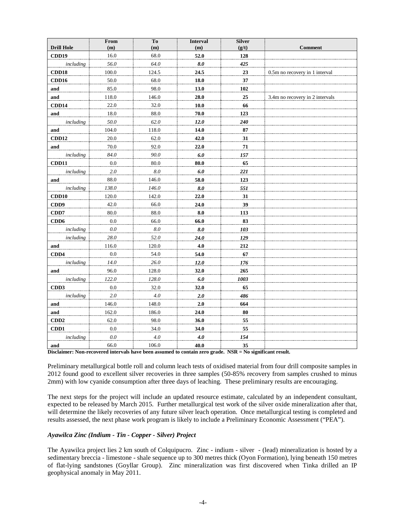| <b>Drill Hole</b>                | From<br>(m)                  | T <sub>o</sub><br>(m) | <b>Interval</b><br>(m) | <b>Silver</b><br>(g/t) | <b>Comment</b>                  |
|----------------------------------|------------------------------|-----------------------|------------------------|------------------------|---------------------------------|
| CDD19                            | 16.0                         | 68.0                  | 52.0                   | 128                    |                                 |
| including                        | 56.0                         | 64.0                  | 8.0                    | 425                    |                                 |
| CDD18                            | 100.0                        | 124.5                 | 24.5                   | 23                     | 0.5m no recovery in 1 interval  |
| CDD16                            | 50.0                         | 68.0                  | 18.0                   | 37                     |                                 |
| and                              | 85.0                         | 98.0                  | 13.0                   | 102                    |                                 |
| and                              | 118.0                        | 146.0                 | 28.0                   | 25                     | 3.4m no recovery in 2 intervals |
| CDD14                            | 22.0                         | 32.0                  | 10.0                   | 66                     |                                 |
| and                              | 18.0                         | 88.0                  | 70.0                   | 123                    |                                 |
| including                        | 50.0                         | 62.0                  | 12.0                   | 240                    |                                 |
| and                              | 104.0                        | 118.0                 | 14.0                   | 87                     |                                 |
| CDD12                            | 20.0                         | 62.0                  | 42.0                   | 31                     |                                 |
| and                              | 70.0                         | 92.0                  | 22.0                   | 71                     |                                 |
| including                        | 84.0                         | 90.0                  | 6.0                    | 157                    |                                 |
| CDD11                            | $0.0\,$                      | 80.0                  | 80.0                   | 65                     |                                 |
| including                        | 2.0                          | $8.0\,$               | 6.0                    | 221                    |                                 |
| and                              | 88.0                         | 146.0                 | 58.0                   | 123                    |                                 |
| including                        | 138.0                        | 146.0                 | $8.0\,$                | 551                    |                                 |
| CDD10                            | 120.0                        | 142.0                 | 22.0                   | 31                     |                                 |
| CDD <sub>9</sub>                 | 42.0                         | 66.0                  | 24.0                   | 39                     |                                 |
| CDD7                             | 80.0                         | 88.0                  | 8.0                    | 113                    |                                 |
| CDD <sub>6</sub>                 | 0.0                          | 66.0                  | 66.0                   | 83                     |                                 |
| including                        | $0.0\,$                      | $8.0\,$               | $8.0\,$                | 103                    |                                 |
| including                        | 28.0                         | 52.0                  | 24.0                   | 129                    |                                 |
| and                              | 116.0                        | 120.0                 | 4.0                    | 212                    |                                 |
| CDD4                             | 0.0                          | 54.0                  | 54.0                   | 67                     |                                 |
| including                        | 14.0                         | 26.0                  | 12.0                   | 176                    |                                 |
| and                              | 96.0                         | 128.0                 | 32.0                   | 265                    |                                 |
| including                        | 122.0                        | 128.0                 | 6.0                    | 1003                   |                                 |
| CD <sub>D</sub> 3                | 0.0                          | 32.0                  | 32.0                   | 65                     |                                 |
| including                        | 2.0                          | 4.0                   | 2.0                    | 486                    |                                 |
| and                              | 146.0                        | 148.0                 | 2.0                    | 664                    |                                 |
| and                              | 162.0                        | 186.0                 | 24.0                   | 80                     |                                 |
| CDD2                             | 62.0                         | 98.0                  | 36.0                   | 55                     |                                 |
| CD <sub>D</sub> 1                | 0.0                          | 34.0                  | 34.0                   | 55                     |                                 |
| including                        | $0.0\,$                      | 4.0                   | 4.0                    | 154                    |                                 |
| and<br>$\mathbf{r}$<br>$\cdot$ . | 66.0<br>$\ddot{\phantom{1}}$ | 106.0                 | 40.0                   | 35<br>TCT              | $\mathbf{r}$                    |

**Disclaimer: Non-recovered intervals have been assumed to contain zero grade. NSR = No significant result.**

Preliminary metallurgical bottle roll and column leach tests of oxidised material from four drill composite samples in 2012 found good to excellent silver recoveries in three samples (50-85% recovery from samples crushed to minus 2mm) with low cyanide consumption after three days of leaching. These preliminary results are encouraging.

The next steps for the project will include an updated resource estimate, calculated by an independent consultant, expected to be released by March 2015. Further metallurgical test work of the silver oxide mineralization after that, will determine the likely recoveries of any future silver leach operation. Once metallurgical testing is completed and results assessed, the next phase work program is likely to include a Preliminary Economic Assessment ("PEA").

# *Ayawilca Zinc (Indium - Tin - Copper - Silver) Project*

The Ayawilca project lies 2 km south of Colquipucro. Zinc - indium - silver - (lead) mineralization is hosted by a sedimentary breccia - limestone - shale sequence up to 300 metres thick (Oyon Formation), lying beneath 150 metres of flat-lying sandstones (Goyllar Group). Zinc mineralization was first discovered when Tinka drilled an IP geophysical anomaly in May 2011.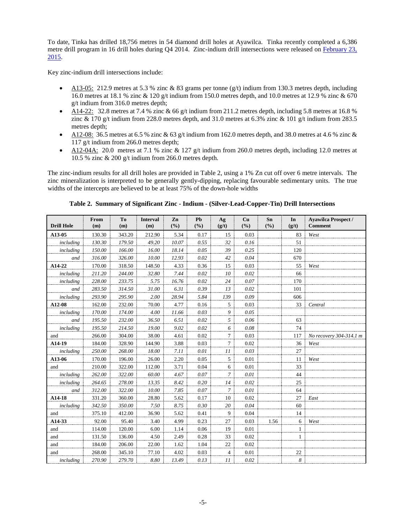To date, Tinka has drilled 18,756 metres in 54 diamond drill holes at Ayawilca. Tinka recently completed a 6,386 metre drill program in 16 drill holes during Q4 2014. Zinc-indium drill intersections were released on [February 23,](http://www.tinkaresources.com/s/NewsReleases.asp?ReportID=697083&_Type=News&_Title=Tinka-Confirms-Indium-With-Zinc-Mineralization-At-Ayawilca-Peru)  [2015.](http://www.tinkaresources.com/s/NewsReleases.asp?ReportID=697083&_Type=News&_Title=Tinka-Confirms-Indium-With-Zinc-Mineralization-At-Ayawilca-Peru)

Key zinc-indium drill intersections include:

- A13-05: 212.9 metres at 5.3 % zinc & 83 grams per tonne  $(g/t)$  indium from 130.3 metres depth, including 16.0 metres at 18.1 % zinc & 120 g/t indium from 150.0 metres depth, and 10.0 metres at 12.9 % zinc & 670 g/t indium from 316.0 metres depth;
- A14-22: 32.8 metres at 7.4 % zinc & 66 g/t indium from 211.2 metres depth, including 5.8 metres at 16.8 % zinc & 170 g/t indium from 228.0 metres depth, and 31.0 metres at 6.3% zinc & 101 g/t indium from 283.5 metres depth;
- A12-08: 36.5 metres at 6.5 % zinc & 63 g/t indium from 162.0 metres depth, and 38.0 metres at 4.6 % zinc & 117 g/t indium from 266.0 metres depth;
- A12-04A: 20.0 metres at 7.1 % zinc  $& 127$  g/t indium from 260.0 metres depth, including 12.0 metres at 10.5 % zinc & 200 g/t indium from 266.0 metres depth.

The zinc-indium results for all drill holes are provided in Table 2, using a 1% Zn cut off over 6 metre intervals. The zinc mineralization is interpreted to be generally gently-dipping, replacing favourable sedimentary units. The true widths of the intercepts are believed to be at least 75% of the down-hole widths

| <b>Drill Hole</b> | From<br>(m) | T <sub>o</sub><br>(m) | <b>Interval</b><br>(m) | Zn<br>(%) | Pb<br>(9/0) | Ag<br>(g/t) | Cu<br>(9/0) | Sn<br>(%) | In<br>(g/t)  | <b>Avawilca Prospect /</b><br><b>Comment</b> |
|-------------------|-------------|-----------------------|------------------------|-----------|-------------|-------------|-------------|-----------|--------------|----------------------------------------------|
| A13-05            | 130.30      | 343.20                | 212.90                 | 5.34      | 0.17        | 15          | 0.03        |           | 83           | West                                         |
| including         | 130.30      | 179.50                | 49.20                  | 10.07     | 0.55        | 32          | 0.16        |           | 51           |                                              |
| including         | 150.00      | 166.00                | 16.00                  | 18.14     | 0.05        | 39          | 0.25        |           | 120          |                                              |
| and               | 316.00      | 326.00                | 10.00                  | 12.93     | 0.02        | 42          | 0.04        |           | 670          |                                              |
| A14-22            | 170.00      | 318.50                | 148.50                 | 4.33      | 0.36        | 15          | 0.03        |           | 55           | West                                         |
| including         | 211.20      | 244.00                | 32.80                  | 7.44      | 0.02        | 10          | 0.02        |           | 66           |                                              |
| including         | 228.00      | 233.75                | 5.75                   | 16.76     | 0.02        | 24          | 0.07        |           | 170          |                                              |
| and               | 283.50      | 314.50                | 31.00                  | 6.31      | 0.39        | 13          | 0.02        |           | 101          |                                              |
| including         | 293.90      | 295.90                | 2.00                   | 28.94     | 5.84        | 139         | 0.09        |           | 606          |                                              |
| A12-08            | 162.00      | 232.00                | 70.00                  | 4.77      | 0.16        | 5           | 0.03        |           | 33           | Central                                      |
| including         | 170.00      | 174.00                | 4.00                   | 11.66     | 0.03        | 9           | 0.05        |           |              |                                              |
| and               | 195.50      | 232.00                | 36.50                  | 6.51      | 0.02        | 5           | 0.06        |           | 63           |                                              |
| including         | 195.50      | 214.50                | 19.00                  | 9.02      | 0.02        | 6           | 0.08        |           | 74           |                                              |
| and               | 266.00      | 304.00                | 38.00                  | 4.61      | 0.02        | 7           | 0.03        |           | 117          | No recovery 304-314.1 m                      |
| A14-19            | 184.00      | 328.90                | 144.90                 | 3.88      | 0.03        | $\tau$      | 0.02        |           | 36           | West                                         |
| including         | 250.00      | 268.00                | 18.00                  | 7.11      | 0.01        | 11          | 0.03        |           | 27           |                                              |
| A13-06            | 170.00      | 196.00                | 26.00                  | 2.20      | 0.05        | 5           | 0.01        |           | 11           | West                                         |
| and               | 210.00      | 322.00                | 112.00                 | 3.71      | 0.04        | 6           | 0.01        |           | 33           |                                              |
| including         | 262.00      | 322.00                | 60.00                  | 4.67      | 0.07        | 7           | 0.01        |           | 44           |                                              |
| including         | 264.65      | 278.00                | 13.35                  | 8.42      | 0.20        | 14          | 0.02        |           | 25           |                                              |
| and               | 312.00      | 322.00                | 10.00                  | 7.85      | 0.07        | 7           | 0.01        |           | 64           |                                              |
| A14-18            | 331.20      | 360.00                | 28.80                  | 5.62      | 0.17        | 10          | 0.02        |           | 27           | East                                         |
| including         | 342.50      | 350.00                | 7.50                   | 8.75      | 0.30        | 20          | 0.04        |           | 60           |                                              |
| and               | 375.10      | 412.00                | 36.90                  | 5.62      | 0.41        | 9           | 0.04        |           | 14           |                                              |
| A14-33            | 92.00       | 95.40                 | 3.40                   | 4.99      | 0.23        | 27          | 0.03        | 1.56      | 6            | West                                         |
| and               | 114.00      | 120.00                | 6.00                   | 1.14      | 0.06        | 19          | 0.01        |           | $\mathbf{1}$ |                                              |
| and               | 131.50      | 136.00                | 4.50                   | 2.49      | 0.28        | 33          | 0.02        |           | 1            |                                              |
| and               | 184.00      | 206.00                | 22.00                  | 1.62      | 1.04        | 22          | 0.02        |           |              |                                              |
| and               | 268.00      | 345.10                | 77.10                  | 4.02      | 0.03        | 4           | 0.01        |           | 22           |                                              |
| including         | 270.90      | 279.70                | 8.80                   | 13.49     | 0.13        | 11          | 0.02        |           | 8            |                                              |

**Table 2. Summary of Significant Zinc - Indium - (Silver-Lead-Copper-Tin) Drill Intersections**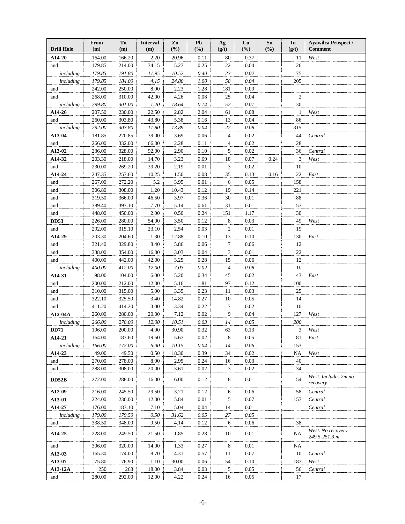| <b>Drill Hole</b>   | From<br>(m)     | Tо<br>(m)       | <b>Interval</b><br>(m) | Zn<br>(%)      | Pb<br>(%)    | Ag<br>(g/t)    | Cu<br>(%)    | Sn<br>(%) | In<br>(g/t)      | <b>Ayawilca Prospect /</b><br><b>Comment</b> |
|---------------------|-----------------|-----------------|------------------------|----------------|--------------|----------------|--------------|-----------|------------------|----------------------------------------------|
| A14-20              | 164.00          | 166.20          | 2.20                   | 20.96          | 0.11         | 80             | 0.37         |           | 11               | West                                         |
| and                 | 179.85          | 214.00          | 34.15                  | 5.27           | 0.25         | 22             | 0.04         |           | 26               |                                              |
| including           | 179.85          | 191.80          | 11.95                  | 10.52          | 0.40         | 23             | 0.02         |           | 75               |                                              |
| including           | 179.85          | 184.00          | 4.15                   | 24.80          | 1.00         | 58             | 0.04         |           | 205              |                                              |
| and                 | 242.00          | 250.00          | $8.00\,$               | 2.23           | 1.28         | 181            | 0.09         |           |                  |                                              |
| and                 | 268.00          | 310.00          | 42.00                  | 4.26           | 0.08         | 25             | 0.04         |           | $\overline{c}$   |                                              |
| including           | 299.80          | 301.00          | 1.20                   | 18.64          | 0.14         | 52             | $0.01\,$     |           | $30\,$           |                                              |
| A14-26              | 207.50          | 230.00          | 22.50                  | 2.82           | 2.04         | 61             | 0.08         |           | $\mathbf{1}$     | West                                         |
| and                 | 260.00          | 303.80          | 43.80                  | 5.38           | 0.16         | 13             | 0.04         |           | 86               |                                              |
| including           | 292.00          | 303.80          | 11.80                  | 13.89          | 0.04         | 22             | 0.08         |           | 315              |                                              |
| A13-04              | 181.85          | 220.85          | 39.00                  | 3.69           | 0.06         | $\overline{4}$ | 0.02         |           | 44               | Central                                      |
| and                 | 266.00          | 332.00          | 66.00                  | 2.28           | 0.11         | $\overline{4}$ | 0.02         |           | 28               |                                              |
| A13-02              | 236.00          | 328.00          | 92.00                  | 2.90           | 0.10         | 5              | 0.02         |           | 36               | Central                                      |
| A14-32              | 203.30          | 218.00          | 14.70                  | 3.23           | 0.69         | 18             | 0.07         | 0.24      | 3                | West                                         |
| and                 | 230.00          | 269.20          | 39.20                  | 2.19           | 0.01         | 3              | 0.02         |           | 10               |                                              |
| A14-24              | 247.35          | 257.60          | 10.25                  | 1.50           | 0.08         | 35             | 0.13         | 0.16      | 22               | East                                         |
| and                 | 267.00          | 272.20          | 5.2                    | 3.95           | 0.01         | 6              | 0.05         |           | 158              |                                              |
| and                 | 306.80          | 308.00          | 1.20                   | 10.43          | 0.12         | 19             | 0.14         |           | 221              |                                              |
| and                 | 319.50          | 366.00          | 46.50                  | 3.97           | 0.36         | 30             | 0.01         |           | 88               |                                              |
| and                 | 389.40          | 397.10          | 7.70                   | 5.14           | 0.61         | 31             | 0.01         |           | 57               |                                              |
| and                 | 448.00          | 450.00          | 2.00                   | 0.50           | 0.24         | 151            | 1.17         |           | $30\,$           |                                              |
| <b>DD53</b>         | 226.00          | 280.00          | 54.00                  | 3.50           | 0.12         | 8              | 0.03         |           | 49               | West                                         |
| and                 | 292.00          | 315.10          | 23.10                  | 2.54           | 0.03         | 2              | 0.01         |           | 19               |                                              |
| A14-29              | 203.30          | 204.60          | 1.30                   | 12.88          | 0.10         | 13             | 0.10         |           | 130              | East                                         |
| and                 | 321.40          | 329.80          | 8.40                   | 5.86           | 0.06         | 7              | 0.06         |           | 12               |                                              |
| and                 | 338.00          | 354.00          | 16.00                  | 3.03           | 0.04         | 3              | 0.01         |           | 22               |                                              |
| and                 | 400.00          | 442.00          | 42.00                  | 3.25           | 0.28         | 15             | 0.06         |           | 12               |                                              |
| including           | 400.00          | 412.00          | 12.00                  | 7.03           | 0.02         | $\overline{4}$ | 0.08         |           | 10               |                                              |
| A14-31              | 98.00           | 104.00          | 6.00                   | 5.20           | 0.34         | 45             | 0.02         |           | 43               | East                                         |
| and                 | 200.00          | 212.00          | 12.00                  | 5.16           | 1.81         | 97             | 0.12         |           | 100              |                                              |
| and                 | 310.00          | 315.00          | 5.00                   | 3.35           | 0.23         | 11             | 0.03         |           | 25               |                                              |
| and                 | 322.10          | 325.50          | 3.40                   | 14.82          | 0.27         | 10             | 0.05         |           | 14               |                                              |
| and                 | 411.20          | 414.20          | 3.00                   | 3.34           | 0.22         | 7              | 0.02         |           | 10               |                                              |
| A12-04A             | 260.00          | 280.00          | 20.00                  | 7.12           | 0.02         | 9              | 0.04         |           | 127              | West                                         |
| including           | 266.00          | 278.00          | 12.00                  | 10.51          | 0.03         | 14             | 0.05         |           | 200              |                                              |
| <b>DD71</b>         | 196.00          | 200.00          | 4.00                   | 30.90          | 0.32         | 63             | 0.13         |           | 3                | West                                         |
| A14-21              | 164.00          | 183.60          | 19.60                  | 5.67           | 0.02         | 8              | 0.05         |           | 81               | East                                         |
| including<br>A14-23 | 166.00<br>49.00 | 172.00<br>49.50 | 6.00<br>0.50           | 10.15<br>18.30 | 0.04<br>0.39 | 14             | 0.06<br>0.02 |           | 153<br><b>NA</b> | West                                         |
| and                 | 270.00          | 278.00          | 8.00                   | 2.95           | 0.24         | 34<br>16       | 0.03         |           | 40               |                                              |
| and                 | 288.00          | 308.00          | 20.00                  | 3.61           | 0.02         | 3              | 0.02         |           | 34               |                                              |
|                     |                 |                 |                        |                |              |                |              |           |                  | West. Includes 2m no                         |
| <b>DD52B</b>        | 272.00          | 288.00          | 16.00                  | 6.00           | 0.12         | 8              | 0.01         |           | 54               | recovery                                     |
| A12-09              | 216.00          | 245.50          | 29.50                  | 3.21           | 0.12         | 6              | 0.06         |           | 58               | Central                                      |
| A13-01              | 224.00          | 236.00          | 12.00                  | 5.84           | 0.01         | 5              | 0.07         |           | 157              | Central                                      |
| A14-27              | 176.00          | 183.10          | 7.10                   | 5.04           | 0.04         | 14             | 0.01         |           |                  | Central                                      |
| including           | 179.00          | 179.50          | 0.50                   | 31.62          | 0.05         | 27             | 0.05         |           |                  |                                              |
| and                 | 338.50          | 348.00          | 9.50                   | 4.14           | 0.12         | 6              | 0.06         |           | 38               |                                              |
| A14-25              | 228.00          | 249.50          | 21.50                  | 1.85           | 0.28         | 10             | 0.01         |           | NA               | West. No recovery<br>249.5-251.3 m           |
| and                 | 306.00          | 320.00          | 14.00                  | 1.33           | 0.27         | 8              | 0.01         |           | NA               |                                              |
| A13-03              | 165.30          | 174.00          | 8.70                   | 4.31           | 0.57         | 11             | 0.07         |           | 10               | Central                                      |
| A13-07              | 75.80           | 76.90           | 1.10                   | 30.00          | 0.06         | 54             | 0.10         |           | 187              | West                                         |
| A13-12A             | 250             | 268             | 18.00                  | 3.84           | 0.03         | 5              | 0.05         |           | 56               | Central                                      |
| and                 | 280.00          | 292.00          | 12.00                  | 4.22           | 0.24         | 16             | 0.05         |           | 17               |                                              |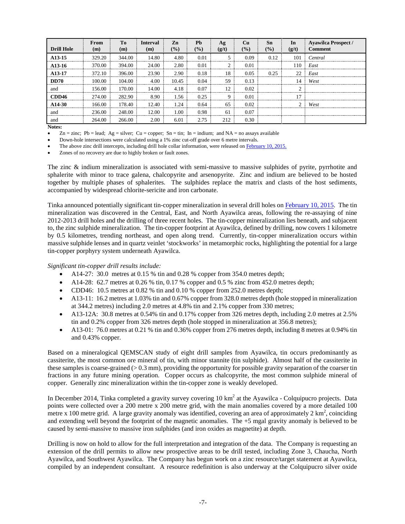| <b>Drill Hole</b>   | <b>From</b><br>(m) | Tо<br>(m) | Interval<br>(m) | Zn<br>$\frac{9}{6}$ | <b>Ph</b><br>(%) | Ag<br>(g/t) | Cu<br>$($ %) | Sn<br>$($ %) | In<br>(g/t) | <b>Ayawilca Prospect /</b><br>Comment |
|---------------------|--------------------|-----------|-----------------|---------------------|------------------|-------------|--------------|--------------|-------------|---------------------------------------|
| A <sub>13</sub> -15 | 329.20             | 344.00    | 14.80           | 4.80                | 0.01             |             | 0.09         | 0.12         | 101         | Central                               |
| A <sub>13</sub> -16 | 370.00             | 394.00    | 24.00           | 2.80                | 0.01             |             | 0.01         |              | 110         | East                                  |
| A <sub>13</sub> -17 | 372.10             | 396.00    | 23.90           | 2.90                | 0.18             | 18          | 0.05         | 0.25         | 22          | East                                  |
| <b>DD70</b>         | 100.00             | 104.00    | 4.00            | 10.45               | 0.04             | 59          | 0.13         |              | 14          | West                                  |
| and                 | 156.00             | 170.00    | 14.00           | 4.18                | 0.07             | 12          | 0.02         |              |             |                                       |
| CDD46               | 2.74.00            | 282.90    | 8.90            | 1.56                | 0.25             |             | 0.01         |              | 17          |                                       |
| A <sub>14</sub> -30 | 166.00             | 178.40    | 12.40           | 1 24                | 0.64             | 65          | 0.02         |              |             | West                                  |
| and                 | 236.00             | 248.00    | 12.00           | .00                 | 0.98             | 61          | 0.07         |              |             |                                       |
| and                 | 264.00             | 266.00    | 2.00            | 6.01                | 2.75             | 212         | 0.30         |              |             |                                       |

**Notes:**

 $Zn = \text{zinc}$ ; Pb = lead; Ag = silver; Cu = copper; Sn = tin; In = indium; and NA = no assays available

• Down-hole intersections were calculated using a 1% zinc cut-off grade over 6 metre intervals.

The above zinc drill intercepts, including drill hole collar information, were released o[n February 10, 2015.](http://www.tinkaresources.com/s/NewsReleases.asp?ReportID=695699&_Type=News&_Title=Tinka-Expands-Zinc-Tin-Copper-Mineralization-At-Ayawilca-Peru)

Zones of no recovery are due to highly broken or fault zones.

The zinc & indium mineralization is associated with semi-massive to massive sulphides of pyrite, pyrrhotite and sphalerite with minor to trace galena, chalcopyrite and arsenopyrite. Zinc and indium are believed to be hosted together by multiple phases of sphalerites. The sulphides replace the matrix and clasts of the host sediments, accompanied by widespread chlorite-sericite and iron carbonate.

Tinka announced potentially significant tin-copper mineralization in several drill holes o[n February 10, 2015.](http://www.tinkaresources.com/s/NewsReleases.asp?ReportID=695699&_Type=News&_Title=Tinka-Expands-Zinc-Tin-Copper-Mineralization-At-Ayawilca-Peru) The tin mineralization was discovered in the Central, East, and North Ayawilca areas, following the re-assaying of nine 2012-2013 drill holes and the drilling of three recent holes. The tin-copper mineralization lies beneath, and subjacent to, the zinc sulphide mineralization. The tin-copper footprint at Ayawilca, defined by drilling, now covers 1 kilometre by 0.5 kilometres, trending northeast, and open along trend. Currently, tin-copper mineralization occurs within massive sulphide lenses and in quartz veinlet 'stockworks' in metamorphic rocks, highlighting the potential for a large tin-copper porphyry system underneath Ayawilca.

## *Significant tin-copper drill results include:*

- A14-27: 30.0 metres at 0.15 % tin and 0.28 % copper from 354.0 metres depth;
- A14-28: 62.7 metres at 0.26 % tin, 0.17 % copper and 0.5 % zinc from 452.0 metres depth;
- CDD46: 10.5 metres at 0.82 % tin and 0.10 % copper from 252.0 metres depth;
- A13-11: 16.2 metres at 1.03% tin and 0.67% copper from 328.0 metres depth (hole stopped in mineralization at 344.2 metres) including 2.0 metres at 4.8% tin and 2.1% copper from 330 metres;
- A13-12A: 30.8 metres at 0.54% tin and 0.17% copper from 326 metres depth, including 2.0 metres at 2.5% tin and 0.2% copper from 326 metres depth (hole stopped in mineralization at 356.8 metres);
- A13-01: 76.0 metres at 0.21 % tin and 0.36% copper from 276 metres depth, including 8 metres at 0.94% tin and 0.43% copper.

Based on a mineralogical QEMSCAN study of eight drill samples from Ayawilca, tin occurs predominantly as cassiterite, the most common ore mineral of tin, with minor stannite (tin sulphide). Almost half of the cassiterite in these samples is coarse-grained  $(> 0.3 \text{ mm})$ , providing the opportunity for possible gravity separation of the coarser tin fractions in any future mining operation. Copper occurs as chalcopyrite, the most common sulphide mineral of copper. Generally zinc mineralization within the tin-copper zone is weakly developed.

In December 2014, Tinka completed a gravity survey covering 10 km<sup>2</sup> at the Ayawilca - Colquipucro projects. Data points were collected over a 200 metre x 200 metre grid, with the main anomalies covered by a more detailed 100 metre x 100 metre grid. A large gravity anomaly was identified, covering an area of approximately  $2 \text{ km}^2$ , coinciding and extending well beyond the footprint of the magnetic anomalies. The +5 mgal gravity anomaly is believed to be caused by semi-massive to massive iron sulphides (and iron oxides as magnetite) at depth.

Drilling is now on hold to allow for the full interpretation and integration of the data. The Company is requesting an extension of the drill permits to allow new prospective areas to be drill tested, including Zone 3, Chaucha, North Ayawilca, and Southwest Ayawilca. The Company has begun work on a zinc resource/target statement at Ayawilca, compiled by an independent consultant. A resource redefinition is also underway at the Colquipucro silver oxide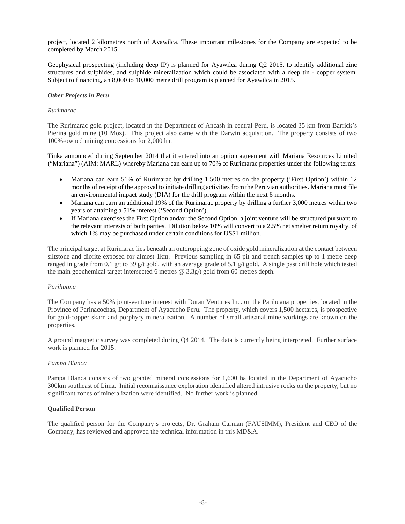project, located 2 kilometres north of Ayawilca. These important milestones for the Company are expected to be completed by March 2015.

Geophysical prospecting (including deep IP) is planned for Ayawilca during Q2 2015, to identify additional zinc structures and sulphides, and sulphide mineralization which could be associated with a deep tin - copper system. Subject to financing, an 8,000 to 10,000 metre drill program is planned for Ayawilca in 2015.

## *Other Projects in Peru*

## *Rurimarac*

The Rurimarac gold project, located in the Department of Ancash in central Peru, is located 35 km from Barrick's Pierina gold mine (10 Moz). This project also came with the Darwin acquisition. The property consists of two 100%-owned mining concessions for 2,000 ha.

Tinka announced during September 2014 that it entered into an option agreement with Mariana Resources Limited ("Mariana") (AIM: MARL) whereby Mariana can earn up to 70% of Rurimarac properties under the following terms:

- Mariana can earn 51% of Rurimarac by drilling 1,500 metres on the property ('First Option') within 12 months of receipt of the approval to initiate drilling activities from the Peruvian authorities. Mariana must file an environmental impact study (DIA) for the drill program within the next 6 months.
- Mariana can earn an additional 19% of the Rurimarac property by drilling a further 3,000 metres within two years of attaining a 51% interest ('Second Option').
- If Mariana exercises the First Option and/or the Second Option, a joint venture will be structured pursuant to the relevant interests of both parties. Dilution below 10% will convert to a 2.5% net smelter return royalty, of which 1% may be purchased under certain conditions for US\$1 million.

The principal target at Rurimarac lies beneath an outcropping zone of oxide gold mineralization at the contact between siltstone and diorite exposed for almost 1km. Previous sampling in 65 pit and trench samples up to 1 metre deep ranged in grade from 0.1 g/t to 39 g/t gold, with an average grade of 5.1 g/t gold. A single past drill hole which tested the main geochemical target intersected 6 metres @ 3.3g/t gold from 60 metres depth.

## *Parihuana*

The Company has a 50% joint-venture interest with Duran Ventures Inc. on the Parihuana properties, located in the Province of Parinacochas, Department of Ayacucho Peru. The property, which covers 1,500 hectares, is prospective for gold-copper skarn and porphyry mineralization. A number of small artisanal mine workings are known on the properties.

A ground magnetic survey was completed during Q4 2014. The data is currently being interpreted. Further surface work is planned for 2015.

## *Pampa Blanca*

Pampa Blanca consists of two granted mineral concessions for 1,600 ha located in the Department of Ayacucho 300km southeast of Lima. Initial reconnaissance exploration identified altered intrusive rocks on the property, but no significant zones of mineralization were identified. No further work is planned.

# **Qualified Person**

The qualified person for the Company's projects, Dr. Graham Carman (FAUSIMM), President and CEO of the Company, has reviewed and approved the technical information in this MD&A.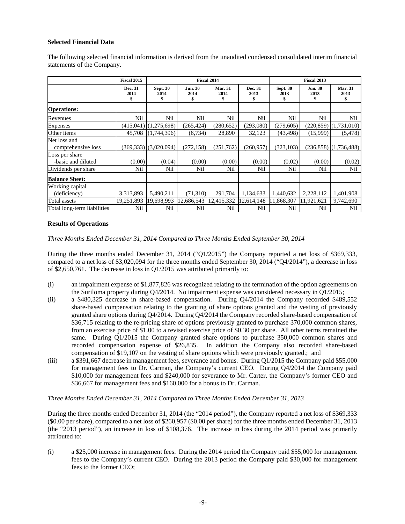# **Selected Financial Data**

The following selected financial information is derived from the unaudited condensed consolidated interim financial statements of the Company.

|                                      | <b>Fiscal 2015</b>    |                               | Fiscal 2014                 |                              |                       |                               | Fiscal 2013                  |                              |
|--------------------------------------|-----------------------|-------------------------------|-----------------------------|------------------------------|-----------------------|-------------------------------|------------------------------|------------------------------|
|                                      | Dec. 31<br>2014<br>\$ | <b>Sept. 30</b><br>2014<br>\$ | <b>Jun. 30</b><br>2014<br>S | <b>Mar. 31</b><br>2014<br>\$ | Dec. 31<br>2013<br>\$ | <b>Sept. 30</b><br>2013<br>\$ | <b>Jun. 30</b><br>2013<br>\$ | <b>Mar. 31</b><br>2013<br>\$ |
| <b>Operations:</b>                   |                       |                               |                             |                              |                       |                               |                              |                              |
| Revenues                             | Nil                   | Nil                           | Nil                         | Nil                          | Nil                   | Nil                           | Nil                          | Nil                          |
| <b>Expenses</b>                      | (415,041)             | (1,275,698)                   | (265, 424)                  | (280, 652)                   | (293,080)             | (279, 605)                    |                              | $(220, 859)$ $(1, 731, 010)$ |
| Other items                          | 45,708                | (1,744,396)                   | (6,734)                     | 28,890                       | 32,123                | (43, 498)                     | (15,999)                     | (5, 478)                     |
| Net loss and<br>comprehensive loss   |                       | $(369,333)$ $(3,020,094)$     | (272, 158)                  | (251,762)                    | (260, 957)            | (323, 103)                    |                              | $(236,858)$ $(1,736,488)$    |
| Loss per share<br>-basic and diluted | (0.00)                | (0.04)                        | (0.00)                      | (0.00)                       | (0.00)                | (0.02)                        | (0.00)                       | (0.02)                       |
| Dividends per share                  | Nil                   | Nil                           | Nil                         | Nil                          | Nil                   | Nil                           | Nil                          | Nil                          |
| <b>Balance Sheet:</b>                |                       |                               |                             |                              |                       |                               |                              |                              |
| Working capital                      |                       |                               |                             |                              |                       |                               |                              |                              |
| (deficiency)                         | 3,313,893             | 5,490,211                     | (71,310)                    | 291,704                      | 1,134,633             | 1,440,632                     | 2,228,112                    | 1,401,908                    |
| Total assets                         | 19,251,893            | 19,698,993                    | 12,686,543                  | 12,415,332                   | 12,614,148            | 11,868,307                    | 11,921,621                   | 9,742,690                    |
| Total long-term liabilities          | Nil                   | Nil                           | Nil                         | Nil                          | Nil                   | Nil                           | Nil                          | Nil                          |

## **Results of Operations**

*Three Months Ended December 31, 2014 Compared to Three Months Ended September 30, 2014*

During the three months ended December 31, 2014 ("Q1/2015") the Company reported a net loss of \$369,333, compared to a net loss of \$3,020,094 for the three months ended September 30, 2014 ("Q4/2014"), a decrease in loss of \$2,650,761. The decrease in loss in Q1/2015 was attributed primarily to:

- (i) an impairment expense of \$1,877,826 was recognized relating to the termination of the option agreements on the Suriloma property during Q4/2014. No impairment expense was considered necessary in Q1/2015;
- (ii) a \$480,325 decrease in share-based compensation. During Q4/2014 the Company recorded \$489,552 share-based compensation relating to the granting of share options granted and the vesting of previously granted share options during Q4/2014. During Q4/2014 the Company recorded share-based compensation of \$36,715 relating to the re-pricing share of options previously granted to purchase 370,000 common shares, from an exercise price of \$1.00 to a revised exercise price of \$0.30 per share. All other terms remained the same. During Q1/2015 the Company granted share options to purchase 350,000 common shares and recorded compensation expense of \$26,835. In addition the Company also recorded share-based compensation of \$19,107 on the vesting of share options which were previously granted.; and
- (iii) a \$391,667 decrease in management fees, severance and bonus. During Q1/2015 the Company paid \$55,000 for management fees to Dr. Carman, the Company's current CEO. During Q4/2014 the Company paid \$10,000 for management fees and \$240,000 for severance to Mr. Carter, the Company's former CEO and \$36,667 for management fees and \$160,000 for a bonus to Dr. Carman.

*Three Months Ended December 31, 2014 Compared to Three Months Ended December 31, 2013*

During the three months ended December 31, 2014 (the "2014 period"), the Company reported a net loss of \$369,333 (\$0.00 per share), compared to a net loss of \$260,957 (\$0.00 per share) for the three months ended December 31, 2013 (the "2013 period"), an increase in loss of \$108,376. The increase in loss during the 2014 period was primarily attributed to:

(i) a \$25,000 increase in management fees. During the 2014 period the Company paid \$55,000 for management fees to the Company's current CEO. During the 2013 period the Company paid \$30,000 for management fees to the former CEO;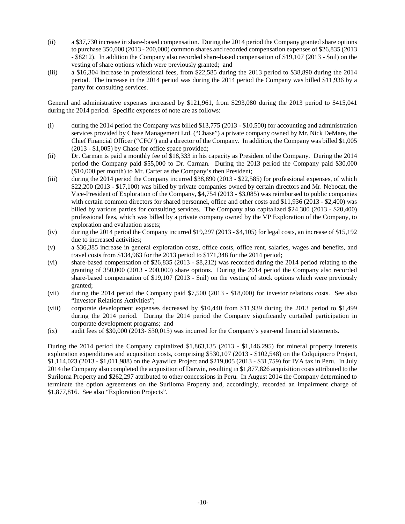- (ii) a \$37,730 increase in share-based compensation. During the 2014 period the Company granted share options to purchase 350,000 (2013 - 200,000) common shares and recorded compensation expenses of \$26,835 (2013 - \$8212). In addition the Company also recorded share-based compensation of \$19,107 (2013 - \$nil) on the vesting of share options which were previously granted; and
- (iii) a \$16,304 increase in professional fees, from \$22,585 during the 2013 period to \$38,890 during the 2014 period. The increase in the 2014 period was during the 2014 period the Company was billed \$11,936 by a party for consulting services.

General and administrative expenses increased by \$121,961, from \$293,080 during the 2013 period to \$415,041 during the 2014 period. Specific expenses of note are as follows:

- (i) during the 2014 period the Company was billed \$13,775 (2013 \$10,500) for accounting and administration services provided by Chase Management Ltd. ("Chase") a private company owned by Mr. Nick DeMare, the Chief Financial Officer ("CFO") and a director of the Company. In addition, the Company was billed \$1,005 (2013 - \$1,005) by Chase for office space provided;
- (ii) Dr. Carman is paid a monthly fee of \$18,333 in his capacity as President of the Company. During the 2014 period the Company paid \$55,000 to Dr. Carman. During the 2013 period the Company paid \$30,000 (\$10,000 per month) to Mr. Carter as the Company's then President;
- (iii) during the 2014 period the Company incurred \$38,890 (2013 \$22,585) for professional expenses, of which \$22,200 (2013 - \$17,100) was billed by private companies owned by certain directors and Mr. Nebocat, the Vice-President of Exploration of the Company, \$4,754 (2013 - \$3,085) was reimbursed to public companies with certain common directors for shared personnel, office and other costs and \$11,936 (2013 - \$2,400) was billed by various parties for consulting services. The Company also capitalized \$24,300 (2013 - \$20,400) professional fees, which was billed by a private company owned by the VP Exploration of the Company, to exploration and evaluation assets;
- (iv) during the 2014 period the Company incurred \$19,297 (2013 \$4,105) for legal costs, an increase of \$15,192 due to increased activities;
- (v) a \$36,385 increase in general exploration costs, office costs, office rent, salaries, wages and benefits, and travel costs from \$134,963 for the 2013 period to \$171,348 for the 2014 period;
- (vi) share-based compensation of \$26,835 (2013 \$8,212) was recorded during the 2014 period relating to the granting of 350,000 (2013 - 200,000) share options. During the 2014 period the Company also recorded share-based compensation of \$19,107 (2013 - \$nil) on the vesting of stock options which were previously granted;
- (vii) during the 2014 period the Company paid \$7,500 (2013 \$18,000) for investor relations costs. See also "Investor Relations Activities";
- (viii) corporate development expenses decreased by \$10,440 from \$11,939 during the 2013 period to \$1,499 during the 2014 period. During the 2014 period the Company significantly curtailed participation in corporate development programs; and
- (ix) audit fees of \$30,000 (2013- \$30,015) was incurred for the Company's year-end financial statements.

During the 2014 period the Company capitalized \$1,863,135 (2013 - \$1,146,295) for mineral property interests exploration expenditures and acquisition costs, comprising \$530,107 (2013 - \$102,548) on the Colquipucro Project, \$1,114,023 (2013 - \$1,011,988) on the Ayawilca Project and \$219,005 (2013 - \$31,759) for IVA tax in Peru. In July 2014 the Company also completed the acquisition of Darwin, resulting in \$1,877,826 acquisition costs attributed to the Suriloma Property and \$262,297 attributed to other concessions in Peru. In August 2014 the Company determined to terminate the option agreements on the Suriloma Property and, accordingly, recorded an impairment charge of \$1,877,816. See also "Exploration Projects".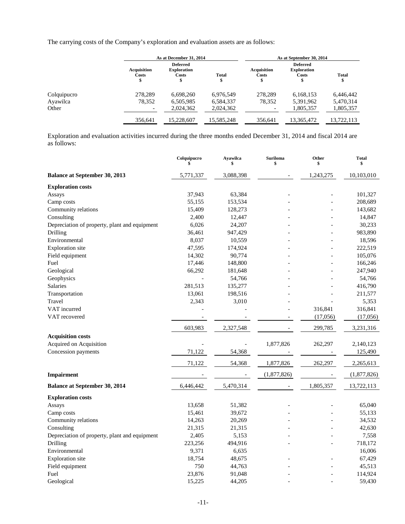The carrying costs of the Company's exploration and evaluation assets are as follows:

|             |                             | As at December 31, 2014                              |                   | As at September 30, 2014 |                                                |                    |  |  |
|-------------|-----------------------------|------------------------------------------------------|-------------------|--------------------------|------------------------------------------------|--------------------|--|--|
|             | <b>Acquisition</b><br>Costs | <b>Deferred</b><br><b>Exploration</b><br>Costs<br>\$ | <b>Total</b><br>J | Acquisition<br>Costs     | <b>Deferred</b><br><b>Exploration</b><br>Costs | <b>Total</b><br>\$ |  |  |
| Colquipucro | 278.289                     | 6,698,260                                            | 6,976,549         | 278.289                  | 6,168,153                                      | 6,446,442          |  |  |
| Ayawilca    | 78,352                      | 6,505,985                                            | 6,584,337         | 78,352                   | 5,391,962                                      | 5,470,314          |  |  |
| Other       |                             | 2.024.362                                            | 2.024.362         |                          | 1,805,357                                      | 1,805,357          |  |  |
|             | 356,641                     | 15,228,607                                           | 15,585,248        | 356.641                  | 13,365,472                                     | 13,722,113         |  |  |

Exploration and evaluation activities incurred during the three months ended December 31, 2014 and fiscal 2014 are as follows:

|                                               | Colquipucro<br>\$ | <b>Ayawilca</b><br>\$ | <b>Suriloma</b><br>\$ | Other<br>\$ | <b>Total</b><br>\$ |
|-----------------------------------------------|-------------------|-----------------------|-----------------------|-------------|--------------------|
| <b>Balance at September 30, 2013</b>          | 5,771,337         | 3,088,398             |                       | 1,243,275   | 10,103,010         |
| <b>Exploration costs</b>                      |                   |                       |                       |             |                    |
| Assays                                        | 37,943            | 63,384                |                       |             | 101,327            |
| Camp costs                                    | 55,155            | 153,534               |                       |             | 208,689            |
| Community relations                           | 15,409            | 128,273               |                       |             | 143,682            |
| Consulting                                    | 2,400             | 12,447                |                       |             | 14,847             |
| Depreciation of property, plant and equipment | 6,026             | 24,207                |                       |             | 30,233             |
| Drilling                                      | 36,461            | 947,429               |                       |             | 983,890            |
| Environmental                                 | 8,037             | 10,559                |                       |             | 18,596             |
| <b>Exploration</b> site                       | 47,595            | 174,924               |                       |             | 222,519            |
| Field equipment                               | 14,302            | 90,774                |                       |             | 105,076            |
| Fuel                                          | 17,446            | 148,800               |                       |             | 166,246            |
| Geological                                    | 66,292            | 181,648               |                       |             | 247,940            |
| Geophysics                                    | $\sim$            | 54,766                |                       |             | 54,766             |
| Salaries                                      | 281,513           | 135,277               |                       |             | 416,790            |
| Transportation                                | 13,061            | 198,516               |                       |             | 211,577            |
| Travel                                        | 2,343             | 3,010                 |                       |             | 5,353              |
| VAT incurred                                  |                   |                       |                       | 316,841     | 316,841            |
| VAT recovered                                 |                   |                       |                       | (17,056)    | (17,056)           |
|                                               | 603,983           | 2,327,548             |                       | 299,785     | 3,231,316          |
| <b>Acquisition costs</b>                      |                   |                       |                       |             |                    |
| Acquired on Acquisition                       |                   |                       | 1,877,826             | 262,297     | 2,140,123          |
| Concession payments                           | 71,122            | 54,368                |                       |             | 125,490            |
|                                               | 71,122            | 54,368                | 1,877,826             | 262,297     | 2,265,613          |
|                                               |                   |                       |                       |             |                    |
| Impairment                                    |                   |                       | (1,877,826)           |             | (1,877,826)        |
| <b>Balance at September 30, 2014</b>          | 6,446,442         | 5,470,314             |                       | 1,805,357   | 13,722,113         |
| <b>Exploration costs</b>                      |                   |                       |                       |             |                    |
| Assays                                        | 13,658            | 51,382                |                       |             | 65,040             |
| Camp costs                                    | 15,461            | 39,672                |                       |             | 55,133             |
| Community relations                           | 14,263            | 20,269                |                       |             | 34,532             |
| Consulting                                    | 21,315            | 21,315                |                       |             | 42,630             |
| Depreciation of property, plant and equipment | 2,405             | 5,153                 |                       |             | 7,558              |
| Drilling                                      | 223,256           | 494,916               |                       |             | 718,172            |
| Environmental                                 | 9,371             | 6,635                 |                       |             | 16,006             |
| <b>Exploration</b> site                       | 18,754            | 48,675                |                       |             | 67,429             |
| Field equipment                               | 750               | 44,763                |                       |             | 45,513             |
| Fuel                                          | 23,876            | 91,048                |                       |             | 114,924            |
| Geological                                    | 15,225            | 44,205                |                       |             | 59,430             |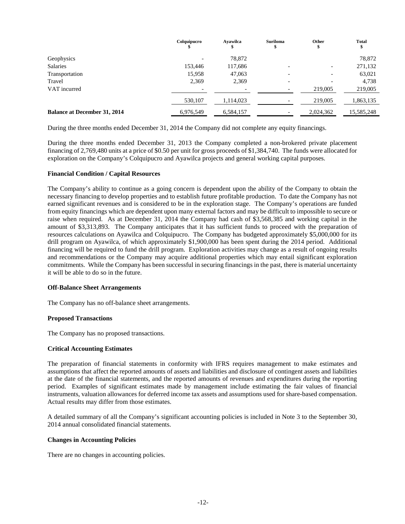|                                     | Colquipucro | Avawilca  | <b>Suriloma</b><br>w     | Other                    | <b>Total</b> |
|-------------------------------------|-------------|-----------|--------------------------|--------------------------|--------------|
| Geophysics                          |             | 78,872    |                          |                          | 78,872       |
| Salaries                            | 153,446     | 117,686   | $\overline{\phantom{0}}$ | $\overline{\phantom{a}}$ | 271,132      |
| Transportation                      | 15,958      | 47,063    | $\overline{\phantom{0}}$ |                          | 63,021       |
| Travel                              | 2,369       | 2,369     |                          |                          | 4,738        |
| VAT incurred                        |             |           |                          | 219,005                  | 219,005      |
|                                     | 530,107     | 1,114,023 |                          | 219,005                  | 1,863,135    |
| <b>Balance at December 31, 2014</b> | 6,976,549   | 6,584,157 |                          | 2,024,362                | 15,585,248   |

During the three months ended December 31, 2014 the Company did not complete any equity financings.

During the three months ended December 31, 2013 the Company completed a non-brokered private placement financing of 2,769,480 units at a price of \$0.50 per unit for gross proceeds of \$1,384,740. The funds were allocated for exploration on the Company's Colquipucro and Ayawilca projects and general working capital purposes.

## **Financial Condition / Capital Resources**

The Company's ability to continue as a going concern is dependent upon the ability of the Company to obtain the necessary financing to develop properties and to establish future profitable production. To date the Company has not earned significant revenues and is considered to be in the exploration stage. The Company's operations are funded from equity financings which are dependent upon many external factors and may be difficult to impossible to secure or raise when required. As at December 31, 2014 the Company had cash of \$3,568,385 and working capital in the amount of \$3,313,893. The Company anticipates that it has sufficient funds to proceed with the preparation of resources calculations on Ayawilca and Colquipucro. The Company has budgeted approximately \$5,000,000 for its drill program on Ayawilca, of which approximately \$1,900,000 has been spent during the 2014 period. Additional financing will be required to fund the drill program. Exploration activities may change as a result of ongoing results and recommendations or the Company may acquire additional properties which may entail significant exploration commitments. While the Company has been successful in securing financings in the past, there is material uncertainty it will be able to do so in the future.

## **Off-Balance Sheet Arrangements**

The Company has no off-balance sheet arrangements.

# **Proposed Transactions**

The Company has no proposed transactions.

## **Critical Accounting Estimates**

The preparation of financial statements in conformity with IFRS requires management to make estimates and assumptions that affect the reported amounts of assets and liabilities and disclosure of contingent assets and liabilities at the date of the financial statements, and the reported amounts of revenues and expenditures during the reporting period. Examples of significant estimates made by management include estimating the fair values of financial instruments, valuation allowances for deferred income tax assets and assumptions used for share-based compensation. Actual results may differ from those estimates.

A detailed summary of all the Company's significant accounting policies is included in Note 3 to the September 30, 2014 annual consolidated financial statements.

## **Changes in Accounting Policies**

There are no changes in accounting policies.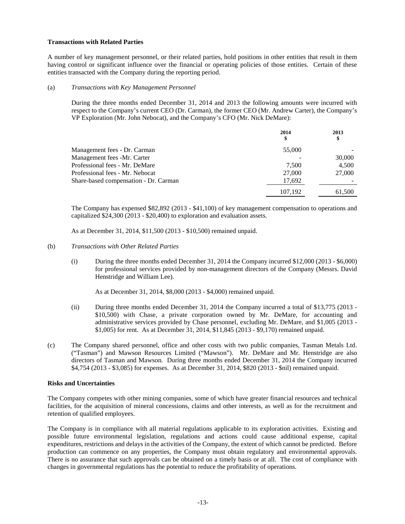# **Transactions with Related Parties**

A number of key management personnel, or their related parties, hold positions in other entities that result in them having control or significant influence over the financial or operating policies of those entities. Certain of these entities transacted with the Company during the reporting period.

## (a) *Transactions with Key Management Personnel*

During the three months ended December 31, 2014 and 2013 the following amounts were incurred with respect to the Company's current CEO (Dr. Carman), the former CEO (Mr. Andrew Carter), the Company's VP Exploration (Mr. John Nebocat), and the Company's CFO (Mr. Nick DeMare):

|                                       | 2014<br>\$ | 2013<br>\$ |
|---------------------------------------|------------|------------|
| Management fees - Dr. Carman          | 55,000     |            |
| Management fees -Mr. Carter           |            | 30,000     |
| Professional fees - Mr. DeMare        | 7.500      | 4.500      |
| Professional fees - Mr. Nebocat       | 27,000     | 27,000     |
| Share-based compensation - Dr. Carman | 17,692     |            |
|                                       | 107,192    | 61,500     |

The Company has expensed \$82,892 (2013 - \$41,100) of key management compensation to operations and capitalized \$24,300 (2013 - \$20,400) to exploration and evaluation assets.

As at December 31, 2014, \$11,500 (2013 - \$10,500) remained unpaid.

## (b) *Transactions with Other Related Parties*

(i) During the three months ended December 31, 2014 the Company incurred \$12,000 (2013 - \$6,000) for professional services provided by non-management directors of the Company (Messrs. David Henstridge and William Lee).

As at December 31, 2014, \$8,000 (2013 - \$4,000) remained unpaid.

- (ii) During three months ended December 31, 2014 the Company incurred a total of \$13,775 (2013 \$10,500) with Chase, a private corporation owned by Mr. DeMare, for accounting and administrative services provided by Chase personnel, excluding Mr. DeMare, and \$1,005 (2013 - \$1,005) for rent. As at December 31, 2014, \$11,845 (2013 - \$9,170) remained unpaid.
- (c) The Company shared personnel, office and other costs with two public companies, Tasman Metals Ltd. ("Tasman") and Mawson Resources Limited ("Mawson"). Mr. DeMare and Mr. Henstridge are also directors of Tasman and Mawson. During three months ended December 31, 2014 the Company incurred \$4,754 (2013 - \$3,085) for expenses. As at December 31, 2014, \$820 (2013 - \$nil) remained unpaid.

## **Risks and Uncertainties**

The Company competes with other mining companies, some of which have greater financial resources and technical facilities, for the acquisition of mineral concessions, claims and other interests, as well as for the recruitment and retention of qualified employees.

The Company is in compliance with all material regulations applicable to its exploration activities. Existing and possible future environmental legislation, regulations and actions could cause additional expense, capital expenditures, restrictions and delays in the activities of the Company, the extent of which cannot be predicted. Before production can commence on any properties, the Company must obtain regulatory and environmental approvals. There is no assurance that such approvals can be obtained on a timely basis or at all. The cost of compliance with changes in governmental regulations has the potential to reduce the profitability of operations.